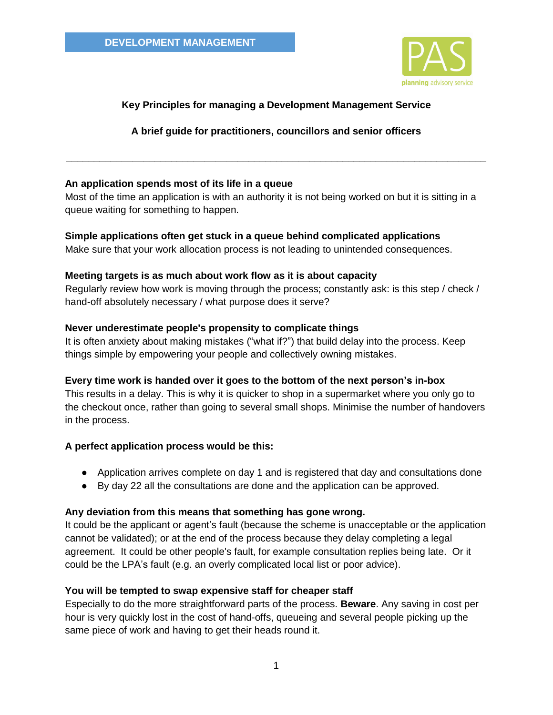

# **Key Principles for managing a Development Management Service**

**A brief guide for practitioners, councillors and senior officers**

**\_\_\_\_\_\_\_\_\_\_\_\_\_\_\_\_\_\_\_\_\_\_\_\_\_\_\_\_\_\_\_\_\_\_\_\_\_\_\_\_\_\_\_\_\_\_\_\_\_\_\_\_\_\_\_\_\_\_\_\_\_\_\_\_\_\_\_\_\_\_\_\_\_\_\_\_**

### **An application spends most of its life in a queue**

Most of the time an application is with an authority it is not being worked on but it is sitting in a queue waiting for something to happen.

### **Simple applications often get stuck in a queue behind complicated applications**

Make sure that your work allocation process is not leading to unintended consequences.

### **Meeting targets is as much about work flow as it is about capacity**

Regularly review how work is moving through the process; constantly ask: is this step / check / hand-off absolutely necessary / what purpose does it serve?

### **Never underestimate people's propensity to complicate things**

It is often anxiety about making mistakes ("what if?") that build delay into the process. Keep things simple by empowering your people and collectively owning mistakes.

## **Every time work is handed over it goes to the bottom of the next person's in-box**

This results in a delay. This is why it is quicker to shop in a supermarket where you only go to the checkout once, rather than going to several small shops. Minimise the number of handovers in the process.

## **A perfect application process would be this:**

- Application arrives complete on day 1 and is registered that day and consultations done
- By day 22 all the consultations are done and the application can be approved.

## **Any deviation from this means that something has gone wrong.**

It could be the applicant or agent's fault (because the scheme is unacceptable or the application cannot be validated); or at the end of the process because they delay completing a legal agreement. It could be other people's fault, for example consultation replies being late. Or it could be the LPA's fault (e.g. an overly complicated local list or poor advice).

## **You will be tempted to swap expensive staff for cheaper staff**

Especially to do the more straightforward parts of the process. **Beware**. Any saving in cost per hour is very quickly lost in the cost of hand-offs, queueing and several people picking up the same piece of work and having to get their heads round it.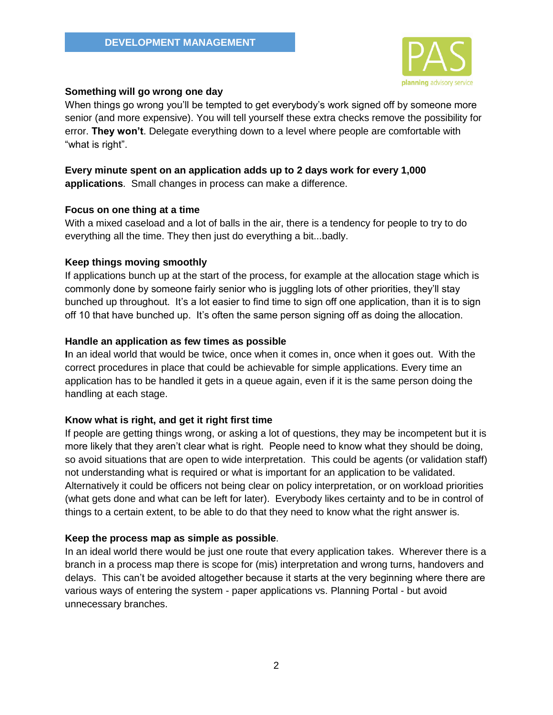

#### **Something will go wrong one day**

When things go wrong you'll be tempted to get everybody's work signed off by someone more senior (and more expensive). You will tell yourself these extra checks remove the possibility for error. **They won't**. Delegate everything down to a level where people are comfortable with "what is right".

### **Every minute spent on an application adds up to 2 days work for every 1,000 applications**. Small changes in process can make a difference.

#### **Focus on one thing at a time**

With a mixed caseload and a lot of balls in the air, there is a tendency for people to try to do everything all the time. They then just do everything a bit...badly.

#### **Keep things moving smoothly**

If applications bunch up at the start of the process, for example at the allocation stage which is commonly done by someone fairly senior who is juggling lots of other priorities, they'll stay bunched up throughout. It's a lot easier to find time to sign off one application, than it is to sign off 10 that have bunched up. It's often the same person signing off as doing the allocation.

#### **Handle an application as few times as possible**

**I**n an ideal world that would be twice, once when it comes in, once when it goes out. With the correct procedures in place that could be achievable for simple applications. Every time an application has to be handled it gets in a queue again, even if it is the same person doing the handling at each stage.

#### **Know what is right, and get it right first time**

If people are getting things wrong, or asking a lot of questions, they may be incompetent but it is more likely that they aren't clear what is right. People need to know what they should be doing, so avoid situations that are open to wide interpretation. This could be agents (or validation staff) not understanding what is required or what is important for an application to be validated. Alternatively it could be officers not being clear on policy interpretation, or on workload priorities (what gets done and what can be left for later). Everybody likes certainty and to be in control of things to a certain extent, to be able to do that they need to know what the right answer is.

#### **Keep the process map as simple as possible**.

In an ideal world there would be just one route that every application takes. Wherever there is a branch in a process map there is scope for (mis) interpretation and wrong turns, handovers and delays. This can't be avoided altogether because it starts at the very beginning where there are various ways of entering the system - paper applications vs. Planning Portal - but avoid unnecessary branches.